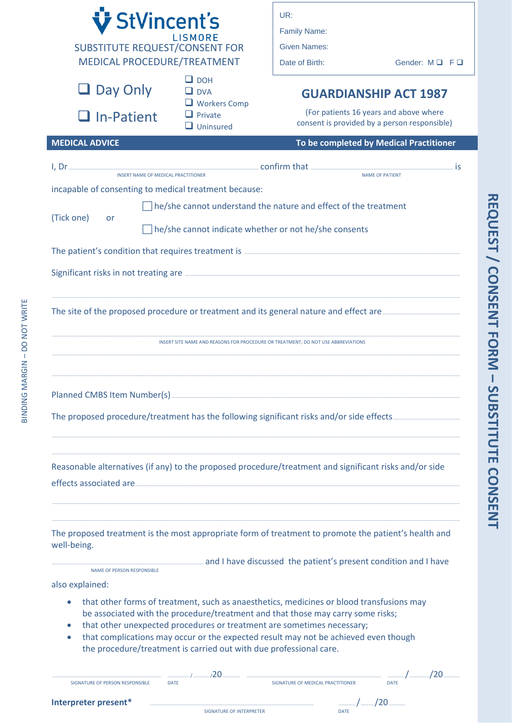| V StVincent's<br>ISMORE<br><b>SUBSTITUTE REQUEST/CONSENT FOR</b><br>MEDICAL PROCEDURE/TREATMENT |                                                                                                                                                                                                                                                                                                                                                                                                                                                                                                       | UR:<br><b>Family Name:</b><br><b>Given Names:</b><br>Date of Birth: | Gender: MQ FQ                                                                                                          |  |
|-------------------------------------------------------------------------------------------------|-------------------------------------------------------------------------------------------------------------------------------------------------------------------------------------------------------------------------------------------------------------------------------------------------------------------------------------------------------------------------------------------------------------------------------------------------------------------------------------------------------|---------------------------------------------------------------------|------------------------------------------------------------------------------------------------------------------------|--|
| $\Box$ Day Only<br>$\Box$ In-Patient                                                            | $\Box$ DOH<br>$\Box$ DVA<br>$\Box$ Workers Comp<br>$\Box$ Private<br>$\Box$ Uninsured                                                                                                                                                                                                                                                                                                                                                                                                                 |                                                                     | <b>GUARDIANSHIP ACT 1987</b><br>(For patients 16 years and above where<br>consent is provided by a person responsible) |  |
| <b>MEDICAL ADVICE</b>                                                                           |                                                                                                                                                                                                                                                                                                                                                                                                                                                                                                       |                                                                     | To be completed by Medical Practitioner                                                                                |  |
| incapable of consenting to medical treatment because:<br>(Tick one)<br>or                       | <b>INSERT NAME OF MEDICAL PRACTITIONER</b><br>he/she cannot understand the nature and effect of the treatment<br>he/she cannot indicate whether or not he/she consents                                                                                                                                                                                                                                                                                                                                |                                                                     | <b>NAME OF PATIENT</b>                                                                                                 |  |
|                                                                                                 |                                                                                                                                                                                                                                                                                                                                                                                                                                                                                                       |                                                                     |                                                                                                                        |  |
|                                                                                                 | INSERT SITE NAME AND REASONS FOR PROCEDURE OR TREATMENT: DO NOT USE ABBREVIATIONS                                                                                                                                                                                                                                                                                                                                                                                                                     |                                                                     |                                                                                                                        |  |
|                                                                                                 |                                                                                                                                                                                                                                                                                                                                                                                                                                                                                                       |                                                                     |                                                                                                                        |  |
|                                                                                                 |                                                                                                                                                                                                                                                                                                                                                                                                                                                                                                       |                                                                     |                                                                                                                        |  |
|                                                                                                 | Reasonable alternatives (if any) to the proposed procedure/treatment and significant risks and/or side                                                                                                                                                                                                                                                                                                                                                                                                |                                                                     |                                                                                                                        |  |
| well-being.<br><b>NAME OF PERSON RESPONSIBLE</b><br>also explained:                             | The proposed treatment is the most appropriate form of treatment to promote the patient's health and<br>and I have discussed the patient's present condition and I have also and I have discussed the patient's present condition and I have<br>that other forms of treatment, such as anaesthetics, medicines or blood transfusions may<br>be associated with the procedure/treatment and that those may carry some risks;<br>that other unexpected procedures or treatment are sometimes necessary; |                                                                     |                                                                                                                        |  |
| $\bullet$                                                                                       | that complications may occur or the expected result may not be achieved even though<br>the procedure/treatment is carried out with due professional care.                                                                                                                                                                                                                                                                                                                                             |                                                                     |                                                                                                                        |  |
| SIGNATURE OF PERSON RESPONSIBLE                                                                 | <b>DATE</b>                                                                                                                                                                                                                                                                                                                                                                                                                                                                                           | SIGNATURE OF MEDICAL PRACTITIONER                                   | <b>DATE</b>                                                                                                            |  |

REQUEST / CONSENT FORM - SUBSTITUTE CONSENT

SIGNATURE OF INTERPRETER

DATE